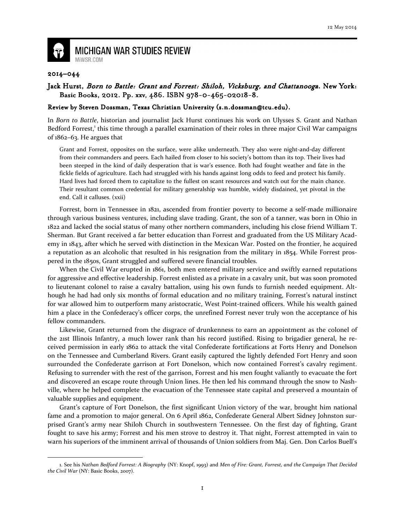

## **MICHIGAN WAR STUDIES REVIEW** MiWSR.COM

## 2014–044

 $\overline{\phantom{0}}$ 

## Jack Hurst, Born to Battle: Grant and Forrest: Shiloh, Vicksburg, and Chattanooga. New York: Basic Books, 2012. Pp. xxv, 486. ISBN 978-0-465-02018-8.

## Review by Steven Dossman, Texas Christian University (s.n.dossman@tcu.edu).

In Born to Battle, historian and journalist Jack Hurst continues his work on Ulysses S. Grant and Nathan Bedford Forrest,<sup>1</sup> this time through a parallel examination of their roles in three major Civil War campaigns of 1862–63. He argues that

Grant and Forrest, opposites on the surface, were alike underneath. They also were night-and-day different from their commanders and peers. Each hailed from closer to his society's bottom than its top. Their lives had been steeped in the kind of daily desperation that is war's essence. Both had fought weather and fate in the fickle fields of agriculture. Each had struggled with his hands against long odds to feed and protect his family. Hard lives had forced them to capitalize to the fullest on scant resources and watch out for the main chance. Their resultant common credential for military generalship was humble, widely disdained, yet pivotal in the end. Call it calluses. (xxii)

Forrest, born in Tennessee in 1821, ascended from frontier poverty to become a self-made millionaire through various business ventures, including slave trading. Grant, the son of a tanner, was born in Ohio in 1822 and lacked the social status of many other northern commanders, including his close friend William T. Sherman. But Grant received a far better education than Forrest and graduated from the US Military Academy in 1843, after which he served with distinction in the Mexican War. Posted on the frontier, he acquired a reputation as an alcoholic that resulted in his resignation from the military in 1854. While Forrest prospered in the 1850s, Grant struggled and suffered severe financial troubles.

 When the Civil War erupted in 1861, both men entered military service and swiftly earned reputations for aggressive and effective leadership. Forrest enlisted as a private in a cavalry unit, but was soon promoted to lieutenant colonel to raise a cavalry battalion, using his own funds to furnish needed equipment. Although he had had only six months of formal education and no military training, Forrest's natural instinct for war allowed him to outperform many aristocratic, West Point-trained officers. While his wealth gained him a place in the Confederacy's officer corps, the unrefined Forrest never truly won the acceptance of his fellow commanders.

Likewise, Grant returned from the disgrace of drunkenness to earn an appointment as the colonel of the 21st Illinois Infantry, a much lower rank than his record justified. Rising to brigadier general, he received permission in early 1862 to attack the vital Confederate fortifications at Forts Henry and Donelson on the Tennessee and Cumberland Rivers. Grant easily captured the lightly defended Fort Henry and soon surrounded the Confederate garrison at Fort Donelson, which now contained Forrest's cavalry regiment. Refusing to surrender with the rest of the garrison, Forrest and his men fought valiantly to evacuate the fort and discovered an escape route through Union lines. He then led his command through the snow to Nashville, where he helped complete the evacuation of the Tennessee state capital and preserved a mountain of valuable supplies and equipment.

Grant's capture of Fort Donelson, the first significant Union victory of the war, brought him national fame and a promotion to major general. On 6 April 1862, Confederate General Albert Sidney Johnston surprised Grant's army near Shiloh Church in southwestern Tennessee. On the first day of fighting, Grant fought to save his army; Forrest and his men strove to destroy it. That night, Forrest attempted in vain to warn his superiors of the imminent arrival of thousands of Union soldiers from Maj. Gen. Don Carlos Buell's

<sup>1.</sup> See his Nathan Bedford Forrest: A Biography (NY: Knopf, 1993) and Men of Fire: Grant, Forrest, and the Campaign That Decided the Civil War (NY: Basic Books, 2007).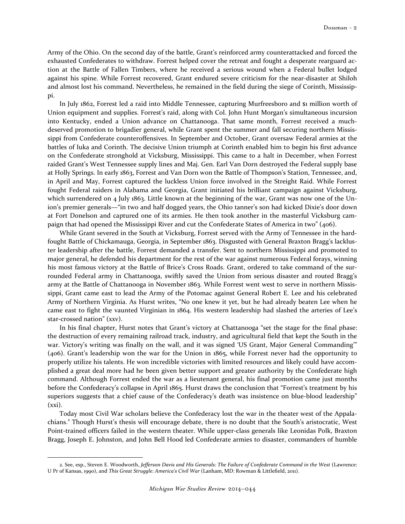Army of the Ohio. On the second day of the battle, Grant's reinforced army counterattacked and forced the exhausted Confederates to withdraw. Forrest helped cover the retreat and fought a desperate rearguard action at the Battle of Fallen Timbers, where he received a serious wound when a Federal bullet lodged against his spine. While Forrest recovered, Grant endured severe criticism for the near-disaster at Shiloh and almost lost his command. Nevertheless, he remained in the field during the siege of Corinth, Mississippi.

In July 1862, Forrest led a raid into Middle Tennessee, capturing Murfreesboro and \$1 million worth of Union equipment and supplies. Forrest's raid, along with Col. John Hunt Morgan's simultaneous incursion into Kentucky, ended a Union advance on Chattanooga. That same month, Forrest received a muchdeserved promotion to brigadier general, while Grant spent the summer and fall securing northern Mississippi from Confederate counteroffensives. In September and October, Grant oversaw Federal armies at the battles of Iuka and Corinth. The decisive Union triumph at Corinth enabled him to begin his first advance on the Confederate stronghold at Vicksburg, Mississippi. This came to a halt in December, when Forrest raided Grant's West Tennessee supply lines and Maj. Gen. Earl Van Dorn destroyed the Federal supply base at Holly Springs. In early 1863, Forrest and Van Dorn won the Battle of Thompson's Station, Tennessee, and, in April and May, Forrest captured the luckless Union force involved in the Streight Raid. While Forrest fought Federal raiders in Alabama and Georgia, Grant initiated his brilliant campaign against Vicksburg, which surrendered on 4 July 1863. Little known at the beginning of the war, Grant was now one of the Union's premier generals—"in two and half dogged years, the Ohio tanner's son had kicked Dixie's door down at Fort Donelson and captured one of its armies. He then took another in the masterful Vicksburg campaign that had opened the Mississippi River and cut the Confederate States of America in two" (406).

While Grant severed in the South at Vicksburg, Forrest served with the Army of Tennessee in the hardfought Battle of Chickamauga, Georgia, in September 1863. Disgusted with General Braxton Bragg's lackluster leadership after the battle, Forrest demanded a transfer. Sent to northern Mississippi and promoted to major general, he defended his department for the rest of the war against numerous Federal forays, winning his most famous victory at the Battle of Brice's Cross Roads. Grant, ordered to take command of the surrounded Federal army in Chattanooga, swiftly saved the Union from serious disaster and routed Bragg's army at the Battle of Chattanooga in November 1863. While Forrest went west to serve in northern Mississippi, Grant came east to lead the Army of the Potomac against General Robert E. Lee and his celebrated Army of Northern Virginia. As Hurst writes, "No one knew it yet, but he had already beaten Lee when he came east to fight the vaunted Virginian in 1864. His western leadership had slashed the arteries of Lee's star-crossed nation" (xxv).

In his final chapter, Hurst notes that Grant's victory at Chattanooga "set the stage for the final phase: the destruction of every remaining railroad track, industry, and agricultural field that kept the South in the war. Victory's writing was finally on the wall, and it was signed 'US Grant, Major General Commanding'" (406). Grant's leadership won the war for the Union in 1865, while Forrest never had the opportunity to properly utilize his talents. He won incredible victories with limited resources and likely could have accomplished a great deal more had he been given better support and greater authority by the Confederate high command. Although Forrest ended the war as a lieutenant general, his final promotion came just months before the Confederacy's collapse in April 1865. Hurst draws the conclusion that "Forrest's treatment by his superiors suggests that a chief cause of the Confederacy's death was insistence on blue-blood leadership"  $(xxi)$ .

Today most Civil War scholars believe the Confederacy lost the war in the theater west of the Appalachians.<sup>2</sup> Though Hurst's thesis will encourage debate, there is no doubt that the South's aristocratic, West Point-trained officers failed in the western theater. While upper-class generals like Leonidas Polk, Braxton Bragg, Joseph E. Johnston, and John Bell Hood led Confederate armies to disaster, commanders of humble

 $\overline{\phantom{0}}$ 

<sup>2.</sup> See, esp., Steven E. Woodworth, Jefferson Davis and His Generals: The Failure of Confederate Command in the West (Lawrence: U Pr of Kansas, 1990), and This Great Struggle: America's Civil War (Lanham, MD: Rowman & Littlefield, 2011).